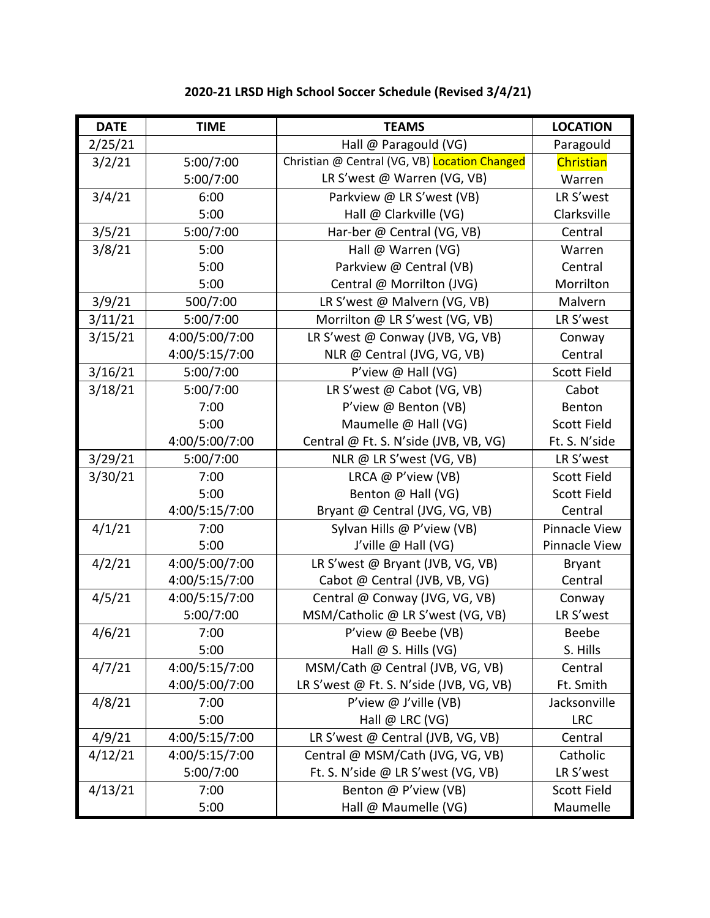| <b>DATE</b> | <b>TIME</b>    | <b>TEAMS</b>                                  | <b>LOCATION</b>    |
|-------------|----------------|-----------------------------------------------|--------------------|
| 2/25/21     |                | Hall @ Paragould (VG)                         | Paragould          |
| 3/2/21      | 5:00/7:00      | Christian @ Central (VG, VB) Location Changed | Christian          |
|             | 5:00/7:00      | LR S'west @ Warren (VG, VB)                   | Warren             |
| 3/4/21      | 6:00           | Parkview @ LR S'west (VB)                     | LR S'west          |
|             | 5:00           | Hall @ Clarkville (VG)                        | Clarksville        |
| 3/5/21      | 5:00/7:00      | Har-ber @ Central (VG, VB)                    | Central            |
| 3/8/21      | 5:00           | Hall @ Warren (VG)                            | Warren             |
|             | 5:00           | Parkview @ Central (VB)                       | Central            |
|             | 5:00           | Central @ Morrilton (JVG)                     | Morrilton          |
| 3/9/21      | 500/7:00       | LR S'west @ Malvern (VG, VB)                  | Malvern            |
| 3/11/21     | 5:00/7:00      | Morrilton @ LR S'west (VG, VB)                | LR S'west          |
| 3/15/21     | 4:00/5:00/7:00 | LR S'west @ Conway (JVB, VG, VB)              | Conway             |
|             | 4:00/5:15/7:00 | NLR @ Central (JVG, VG, VB)                   | Central            |
| 3/16/21     | 5:00/7:00      | P'view @ Hall (VG)                            | Scott Field        |
| 3/18/21     | 5:00/7:00      | LR S'west @ Cabot (VG, VB)                    | Cabot              |
|             | 7:00           | P'view @ Benton (VB)                          | Benton             |
|             | 5:00           | Maumelle @ Hall (VG)                          | <b>Scott Field</b> |
|             | 4:00/5:00/7:00 | Central @ Ft. S. N'side (JVB, VB, VG)         | Ft. S. N'side      |
| 3/29/21     | 5:00/7:00      | NLR @ LR S'west (VG, VB)                      | LR S'west          |
| 3/30/21     | 7:00           | LRCA @ P'view (VB)                            | <b>Scott Field</b> |
|             | 5:00           | Benton @ Hall (VG)                            | Scott Field        |
|             | 4:00/5:15/7:00 | Bryant @ Central (JVG, VG, VB)                | Central            |
| 4/1/21      | 7:00           | Sylvan Hills @ P'view (VB)                    | Pinnacle View      |
|             | 5:00           | J'ville @ Hall (VG)                           | Pinnacle View      |
| 4/2/21      | 4:00/5:00/7:00 | LR S'west @ Bryant (JVB, VG, VB)              | <b>Bryant</b>      |
|             | 4:00/5:15/7:00 | Cabot @ Central (JVB, VB, VG)                 | Central            |
| 4/5/21      | 4:00/5:15/7:00 | Central @ Conway (JVG, VG, VB)                | Conway             |
|             | 5:00/7:00      | MSM/Catholic @ LR S'west (VG, VB)             | LR S'west          |
| 4/6/21      | 7:00           | P'view @ Beebe (VB)                           | Beebe              |
|             | 5:00           | Hall $@S.$ Hills (VG)                         | S. Hills           |
| 4/7/21      | 4:00/5:15/7:00 | MSM/Cath @ Central (JVB, VG, VB)              | Central            |
|             | 4:00/5:00/7:00 | LR S'west @ Ft. S. N'side (JVB, VG, VB)       | Ft. Smith          |
| 4/8/21      | 7:00           | P'view @ J'ville (VB)                         | Jacksonville       |
|             | 5:00           | Hall @ LRC (VG)                               | <b>LRC</b>         |
| 4/9/21      | 4:00/5:15/7:00 | LR S'west @ Central (JVB, VG, VB)             | Central            |
| 4/12/21     | 4:00/5:15/7:00 | Central @ MSM/Cath (JVG, VG, VB)              | Catholic           |
|             | 5:00/7:00      | Ft. S. N'side @ LR S'west (VG, VB)            | LR S'west          |
| 4/13/21     | 7:00           | Benton @ P'view (VB)                          | <b>Scott Field</b> |
|             | 5:00           | Hall @ Maumelle (VG)                          | Maumelle           |

## **2020-21 LRSD High School Soccer Schedule (Revised 3/4/21)**